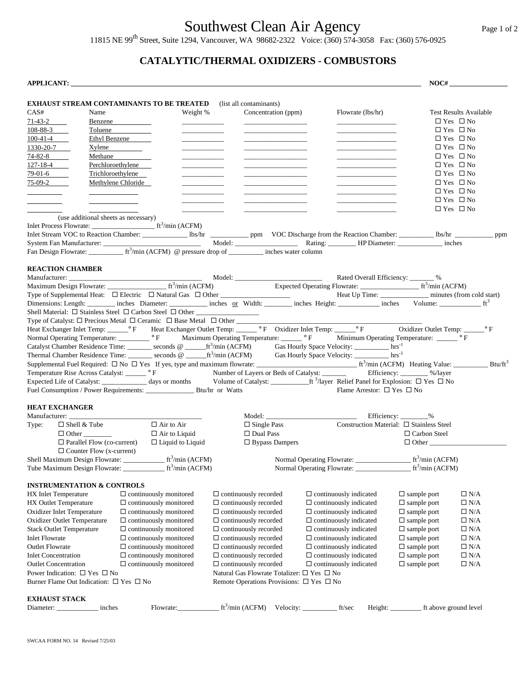# Southwest Clean Air Agency Page 1 of 2

11815 NE 99<sup>th</sup> Street, Suite 1294, Vancouver, WA 98682-2322 Voice: (360) 574-3058 Fax: (360) 576-0925

## **CATALYTIC/THERMAL OXIDIZERS - COMBUSTORS**

|                                                            |                                                                                                                                                                                                                                   |                                                                  |                                            | $NOC\#$                                          |                               |  |
|------------------------------------------------------------|-----------------------------------------------------------------------------------------------------------------------------------------------------------------------------------------------------------------------------------|------------------------------------------------------------------|--------------------------------------------|--------------------------------------------------|-------------------------------|--|
|                                                            | <b>EXHAUST STREAM CONTAMINANTS TO BE TREATED</b> (list all contaminants)                                                                                                                                                          |                                                                  |                                            |                                                  |                               |  |
| CAS#<br>Name                                               | Weight %                                                                                                                                                                                                                          | Concentration (ppm)                                              | Flowrate (lbs/hr)                          |                                                  | <b>Test Results Available</b> |  |
| 71-43-2                                                    | <b>Benzene</b><br>_____________________                                                                                                                                                                                           |                                                                  |                                            | $\Box$ Yes $\Box$ No                             |                               |  |
| 108-88-3                                                   | Toluene                                                                                                                                                                                                                           |                                                                  |                                            | $\Box$ Yes $\Box$ No                             |                               |  |
| $100-41-4$                                                 | Ethyl Benzene                                                                                                                                                                                                                     |                                                                  |                                            | $\Box$ Yes $\Box$ No                             |                               |  |
| 1330-20-7                                                  | <b>Xylene</b>                                                                                                                                                                                                                     |                                                                  |                                            | $\Box$ Yes $\Box$ No                             |                               |  |
| 74-82-8                                                    | Methane                                                                                                                                                                                                                           |                                                                  |                                            | $\Box$ Yes $\Box$ No                             |                               |  |
| 127-18-4                                                   | Perchloroethylene                                                                                                                                                                                                                 |                                                                  |                                            | $\Box$ Yes $\Box$ No                             |                               |  |
| 79-01-6                                                    | Trichloroethylene                                                                                                                                                                                                                 |                                                                  |                                            | $\Box$ Yes $\Box$ No                             |                               |  |
| 75-09-2                                                    | Methylene Chloride                                                                                                                                                                                                                |                                                                  |                                            | $\Box$ Yes $\Box$ No                             |                               |  |
|                                                            | _________________                                                                                                                                                                                                                 |                                                                  |                                            | $\Box$ Yes $\Box$ No                             |                               |  |
|                                                            |                                                                                                                                                                                                                                   |                                                                  |                                            | $\Box$ Yes $\Box$ No<br>$\Box$ Yes $\Box$ No     |                               |  |
| (use additional sheets as necessary)                       |                                                                                                                                                                                                                                   |                                                                  |                                            |                                                  |                               |  |
|                                                            |                                                                                                                                                                                                                                   |                                                                  |                                            |                                                  |                               |  |
|                                                            |                                                                                                                                                                                                                                   |                                                                  |                                            |                                                  |                               |  |
|                                                            |                                                                                                                                                                                                                                   |                                                                  |                                            |                                                  |                               |  |
|                                                            | Fan Design Flowrate: ______________ ft <sup>3</sup> /min (ACFM) @ pressure drop of ___________ inches water column                                                                                                                |                                                                  |                                            |                                                  |                               |  |
| <b>REACTION CHAMBER</b>                                    |                                                                                                                                                                                                                                   |                                                                  |                                            |                                                  |                               |  |
|                                                            | Manufacturer: Model: Model: Rated Overall Efficiency: Woodel: Rated Overall Efficiency: Woodel: Rated Overall Efficiency: Woodel: Rated Overall Efficiency: We<br>Maximum Design Flowrate: Figure of Synchrometal Hasting Electri |                                                                  |                                            |                                                  |                               |  |
|                                                            |                                                                                                                                                                                                                                   |                                                                  |                                            |                                                  |                               |  |
|                                                            | Type of Supplemental Heat: $\Box$ Electric $\Box$ Natural Gas $\Box$ Other                                                                                                                                                        |                                                                  |                                            |                                                  |                               |  |
|                                                            | Dimensions: Length: inches Diameter: inches or Width: inches Height: inches Wolume: Wolume: inches Volume.                                                                                                                        |                                                                  |                                            |                                                  |                               |  |
|                                                            | Shell Material: □ Stainless Steel □ Carbon Steel □ Other _______________________                                                                                                                                                  |                                                                  |                                            |                                                  |                               |  |
|                                                            | Type of Catalyst: $\Box$ Precious Metal $\Box$ Ceramic $\Box$ Base Metal $\Box$ Other                                                                                                                                             |                                                                  |                                            |                                                  |                               |  |
|                                                            | Heat Exchanger Inlet Temp: Capital Exchanger Outlet Temp: Capital Contract Temp: Capital Contract Temp: Capital Contract Temp: Capital Contract Temp: Capital Contract Temp: Capital Contract Temp: Capital Contract Temp: Cap    |                                                                  |                                            |                                                  |                               |  |
|                                                            |                                                                                                                                                                                                                                   |                                                                  |                                            |                                                  |                               |  |
|                                                            |                                                                                                                                                                                                                                   |                                                                  |                                            |                                                  |                               |  |
|                                                            |                                                                                                                                                                                                                                   |                                                                  |                                            |                                                  |                               |  |
|                                                            |                                                                                                                                                                                                                                   |                                                                  |                                            |                                                  |                               |  |
|                                                            | Temperature Rise Across Catalyst: __________ ° F Mumber of Layers or Beds of Catalyst: __________________ %/layer<br>Expected Life of Catalyst: _____________________ days or months Volume of Catalyst: _______________________  |                                                                  |                                            |                                                  |                               |  |
|                                                            |                                                                                                                                                                                                                                   |                                                                  |                                            |                                                  |                               |  |
|                                                            | Fuel Consumption / Power Requirements: _______________________ Btu/hr or Watts                                                                                                                                                    |                                                                  | Flame Arrestor: $\Box$ Yes $\Box$ No       |                                                  |                               |  |
| <b>HEAT EXCHANGER</b>                                      |                                                                                                                                                                                                                                   |                                                                  |                                            |                                                  |                               |  |
|                                                            |                                                                                                                                                                                                                                   |                                                                  |                                            |                                                  |                               |  |
| Type:<br>$\Box$ Shell & Tube<br>$\Box$ Shell $\alpha$ Tube | $\Box$ Air to Air                                                                                                                                                                                                                 | $\Box$ Single Pass                                               |                                            | Construction Material: $\square$ Stainless Steel |                               |  |
|                                                            | $\Box$ Air to Liquid                                                                                                                                                                                                              | $\Box$ Dual Pass                                                 |                                            | $\Box$ Carbon Steel                              |                               |  |
| $\Box$ Parallel Flow (co-current)                          | $\Box$ Liquid to Liquid                                                                                                                                                                                                           | $\Box$ Bypass Dampers                                            |                                            | $\Box$ Other                                     |                               |  |
| $\Box$ Counter Flow (x-current)                            |                                                                                                                                                                                                                                   |                                                                  |                                            |                                                  |                               |  |
|                                                            |                                                                                                                                                                                                                                   |                                                                  |                                            | $ft^3$ /min (ACFM)                               |                               |  |
| Tube Maximum Design Flowrate:                              | $ft^3/min (ACFM)$                                                                                                                                                                                                                 |                                                                  |                                            | $ft^3/min$ (ACFM)                                |                               |  |
| <b>INSTRUMENTATION &amp; CONTROLS</b>                      |                                                                                                                                                                                                                                   |                                                                  |                                            |                                                  |                               |  |
| HX Inlet Temperature                                       | $\Box$ continuously monitored                                                                                                                                                                                                     | $\Box$ continuously recorded                                     | $\Box$ continuously indicated              | $\Box$ sample port<br>$\square$ N/A              |                               |  |
| HX Outlet Temperature                                      | $\Box$ continuously monitored                                                                                                                                                                                                     | $\Box$ continuously recorded                                     | $\Box$ continuously indicated              | $\Box$ sample port<br>$\square$ N/A              |                               |  |
| Oxidizer Inlet Temperature                                 | $\Box$ continuously monitored                                                                                                                                                                                                     | $\Box$ continuously recorded                                     | $\square$ continuously indicated           | $\Box$ sample port<br>$\square$ N/A              |                               |  |
| <b>Oxidizer Outlet Temperature</b>                         | $\Box$ continuously monitored                                                                                                                                                                                                     | $\Box$ continuously recorded                                     | $\Box$ continuously indicated              | $\Box$ sample port<br>$\square$ N/A              |                               |  |
| <b>Stack Outlet Temperature</b>                            | $\Box$ continuously monitored                                                                                                                                                                                                     | $\Box$ continuously recorded                                     | $\Box$ continuously indicated              | $\Box$ sample port<br>$\square$ N/A              |                               |  |
| <b>Inlet Flowrate</b>                                      | $\Box$ continuously monitored                                                                                                                                                                                                     | $\Box$ continuously recorded                                     | $\square$ continuously indicated           | $\square$ sample port<br>$\square$ N/A           |                               |  |
| <b>Outlet Flowrate</b>                                     | $\Box$ continuously monitored                                                                                                                                                                                                     | $\Box$ continuously recorded                                     | $\Box$ continuously indicated              | $\Box$ sample port<br>$\square$ N/A              |                               |  |
| <b>Inlet Concentration</b>                                 | $\Box$ continuously monitored                                                                                                                                                                                                     | $\Box$ continuously recorded                                     | $\Box$ continuously indicated              | $\square$ sample port<br>$\square$ N/A           |                               |  |
| <b>Outlet Concentration</b>                                | $\Box$ continuously monitored                                                                                                                                                                                                     | $\Box$ continuously recorded                                     | $\Box$ continuously indicated              | $\Box$ sample port<br>$\square$ N/A              |                               |  |
| Power Indication: $\square$ Yes $\square$ No               |                                                                                                                                                                                                                                   | Natural Gas Flowrate Totalizer: □ Yes □ No                       |                                            |                                                  |                               |  |
| Burner Flame Out Indication: □ Yes □ No                    |                                                                                                                                                                                                                                   | Remote Operations Provisions: $\Box$ Yes $\Box$ No               |                                            |                                                  |                               |  |
| <b>EXHAUST STACK</b>                                       |                                                                                                                                                                                                                                   |                                                                  |                                            |                                                  |                               |  |
| inches<br>Diameter:                                        | Flowrate:                                                                                                                                                                                                                         | ft <sup>3</sup> /min(ACFM)<br>Velocity: $\overline{\phantom{a}}$ | ft/sec<br>Height: $\overline{\phantom{a}}$ | ft above ground level                            |                               |  |
|                                                            |                                                                                                                                                                                                                                   |                                                                  |                                            |                                                  |                               |  |